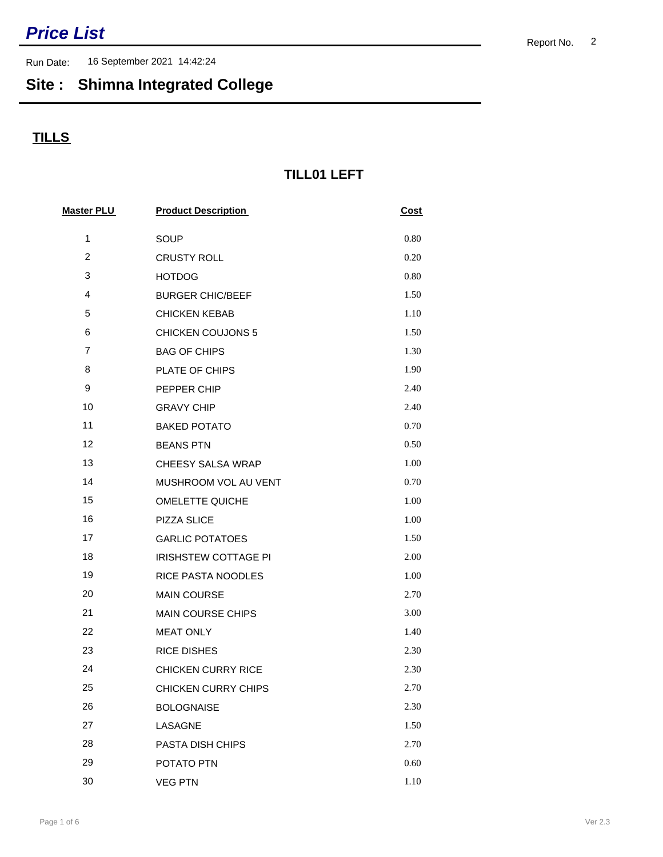Run Date: 16 September 2021 14:42:24

## **Site : Shimna Integrated College**

### **TILLS**

#### **TILL01 LEFT**

| <b>Master PLU</b> | <b>Product Description</b> | <b>Cost</b> |  |
|-------------------|----------------------------|-------------|--|
| $\mathbf{1}$      | SOUP                       | 0.80        |  |
| $\overline{c}$    | <b>CRUSTY ROLL</b>         | 0.20        |  |
| 3                 | <b>HOTDOG</b>              | 0.80        |  |
| 4                 | <b>BURGER CHIC/BEEF</b>    | 1.50        |  |
| 5                 | <b>CHICKEN KEBAB</b>       | 1.10        |  |
| 6                 | <b>CHICKEN COUJONS 5</b>   | 1.50        |  |
| $\overline{7}$    | <b>BAG OF CHIPS</b>        | 1.30        |  |
| 8                 | <b>PLATE OF CHIPS</b>      | 1.90        |  |
| 9                 | PEPPER CHIP                | 2.40        |  |
| 10                | <b>GRAVY CHIP</b>          | 2.40        |  |
| 11                | <b>BAKED POTATO</b>        | 0.70        |  |
| 12                | <b>BEANS PTN</b>           | 0.50        |  |
| 13                | CHEESY SALSA WRAP          | 1.00        |  |
| 14                | MUSHROOM VOL AU VENT       | 0.70        |  |
| 15                | <b>OMELETTE QUICHE</b>     | 1.00        |  |
| 16                | PIZZA SLICE                | 1.00        |  |
| 17                | <b>GARLIC POTATOES</b>     | 1.50        |  |
| 18                | IRISHSTEW COTTAGE PI       | 2.00        |  |
| 19                | RICE PASTA NOODLES         | 1.00        |  |
| 20                | <b>MAIN COURSE</b>         | 2.70        |  |
| 21                | MAIN COURSE CHIPS          | 3.00        |  |
| 22                | <b>MEAT ONLY</b>           | 1.40        |  |
| 23                | <b>RICE DISHES</b>         | 2.30        |  |
| 24                | <b>CHICKEN CURRY RICE</b>  | 2.30        |  |
| 25                | CHICKEN CURRY CHIPS        | 2.70        |  |
| 26                | <b>BOLOGNAISE</b>          | 2.30        |  |
| 27                | LASAGNE                    | 1.50        |  |
| 28                | PASTA DISH CHIPS           | 2.70        |  |
| 29                | POTATO PTN                 | 0.60        |  |
| 30                | <b>VEG PTN</b>             | 1.10        |  |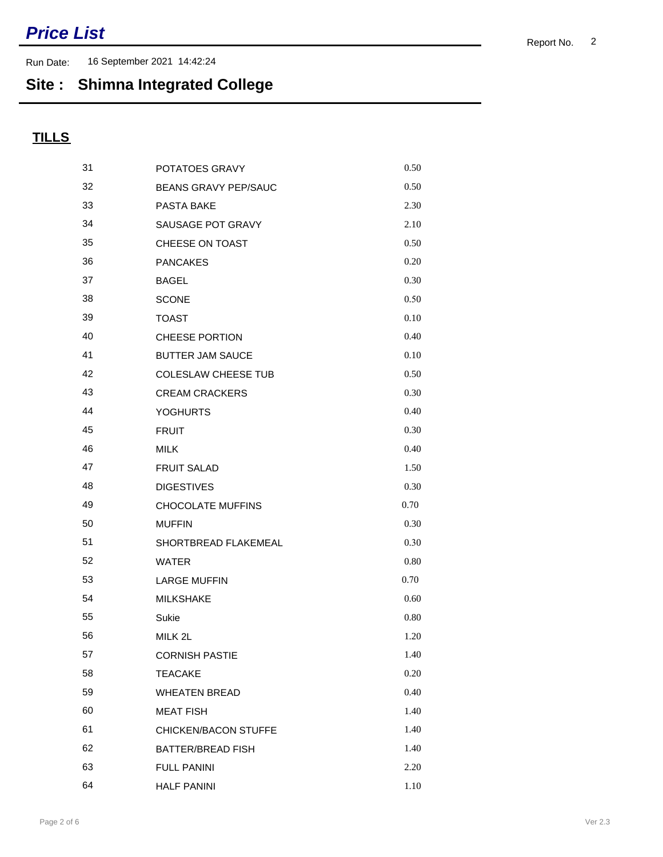Run Date: 16 September 2021 14:42:24

## **Site : Shimna Integrated College**

| 31 | POTATOES GRAVY              | 0.50 |
|----|-----------------------------|------|
| 32 | <b>BEANS GRAVY PEP/SAUC</b> | 0.50 |
| 33 | PASTA BAKE                  | 2.30 |
| 34 | SAUSAGE POT GRAVY           | 2.10 |
| 35 | CHEESE ON TOAST             | 0.50 |
| 36 | <b>PANCAKES</b>             | 0.20 |
| 37 | <b>BAGEL</b>                | 0.30 |
| 38 | <b>SCONE</b>                | 0.50 |
| 39 | <b>TOAST</b>                | 0.10 |
| 40 | <b>CHEESE PORTION</b>       | 0.40 |
| 41 | <b>BUTTER JAM SAUCE</b>     | 0.10 |
| 42 | <b>COLESLAW CHEESE TUB</b>  | 0.50 |
| 43 | <b>CREAM CRACKERS</b>       | 0.30 |
| 44 | <b>YOGHURTS</b>             | 0.40 |
| 45 | <b>FRUIT</b>                | 0.30 |
| 46 | <b>MILK</b>                 | 0.40 |
| 47 | <b>FRUIT SALAD</b>          | 1.50 |
| 48 | <b>DIGESTIVES</b>           | 0.30 |
| 49 | CHOCOLATE MUFFINS           | 0.70 |
| 50 | <b>MUFFIN</b>               | 0.30 |
| 51 | SHORTBREAD FLAKEMEAL        | 0.30 |
| 52 | <b>WATER</b>                | 0.80 |
| 53 | <b>LARGE MUFFIN</b>         | 0.70 |
| 54 | <b>MILKSHAKE</b>            | 0.60 |
| 55 | Sukie                       | 0.80 |
| 56 | MILK 2L                     | 1.20 |
| 57 | <b>CORNISH PASTIE</b>       | 1.40 |
| 58 | <b>TEACAKE</b>              | 0.20 |
| 59 | <b>WHEATEN BREAD</b>        | 0.40 |
| 60 | <b>MEAT FISH</b>            | 1.40 |
| 61 | CHICKEN/BACON STUFFE        | 1.40 |
| 62 | <b>BATTER/BREAD FISH</b>    | 1.40 |
| 63 | <b>FULL PANINI</b>          | 2.20 |
| 64 | <b>HALF PANINI</b>          | 1.10 |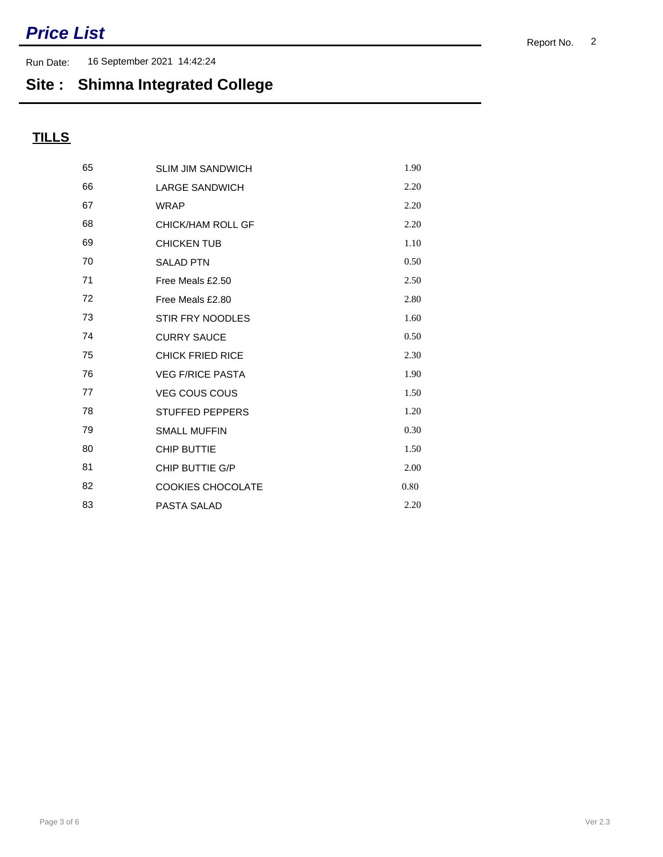Run Date: 16 September 2021 14:42:24

## **Site : Shimna Integrated College**

| 65 | <b>SLIM JIM SANDWICH</b> | 1.90 |
|----|--------------------------|------|
| 66 | <b>LARGE SANDWICH</b>    | 2.20 |
| 67 | <b>WRAP</b>              | 2.20 |
| 68 | CHICK/HAM ROLL GF        | 2.20 |
| 69 | <b>CHICKEN TUB</b>       | 1.10 |
| 70 | <b>SALAD PTN</b>         | 0.50 |
| 71 | Free Meals £2.50         | 2.50 |
| 72 | Free Meals £2.80         | 2.80 |
| 73 | STIR FRY NOODLES         | 1.60 |
| 74 | <b>CURRY SAUCE</b>       | 0.50 |
| 75 | <b>CHICK FRIED RICE</b>  | 2.30 |
| 76 | <b>VEG F/RICE PASTA</b>  | 1.90 |
| 77 | <b>VEG COUS COUS</b>     | 1.50 |
| 78 | <b>STUFFED PEPPERS</b>   | 1.20 |
| 79 | <b>SMALL MUFFIN</b>      | 0.30 |
| 80 | <b>CHIP BUTTIE</b>       | 1.50 |
| 81 | CHIP BUTTIE G/P          | 2.00 |
| 82 | <b>COOKIES CHOCOLATE</b> | 0.80 |
| 83 | PASTA SALAD              | 2.20 |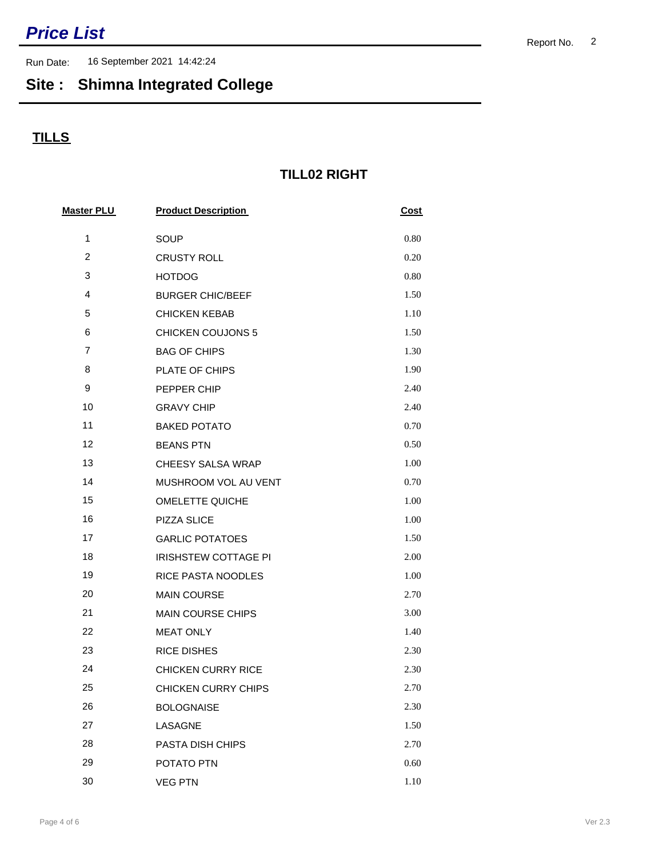Run Date: 16 September 2021 14:42:24

## **Site : Shimna Integrated College**

### **TILLS**

#### **TILL02 RIGHT**

| <b>Master PLU</b> | <b>Product Description</b> | <b>Cost</b> |  |
|-------------------|----------------------------|-------------|--|
| $\mathbf{1}$      | SOUP                       | 0.80        |  |
| $\overline{c}$    | <b>CRUSTY ROLL</b>         | 0.20        |  |
| 3                 | <b>HOTDOG</b>              | 0.80        |  |
| 4                 | <b>BURGER CHIC/BEEF</b>    | 1.50        |  |
| 5                 | <b>CHICKEN KEBAB</b>       | 1.10        |  |
| 6                 | <b>CHICKEN COUJONS 5</b>   | 1.50        |  |
| $\overline{7}$    | <b>BAG OF CHIPS</b>        | 1.30        |  |
| 8                 | PLATE OF CHIPS             | 1.90        |  |
| 9                 | PEPPER CHIP                | 2.40        |  |
| 10                | <b>GRAVY CHIP</b>          | 2.40        |  |
| 11                | <b>BAKED POTATO</b>        | 0.70        |  |
| 12                | <b>BEANS PTN</b>           | 0.50        |  |
| 13                | <b>CHEESY SALSA WRAP</b>   | 1.00        |  |
| 14                | MUSHROOM VOL AU VENT       | 0.70        |  |
| 15                | <b>OMELETTE QUICHE</b>     | 1.00        |  |
| 16                | PIZZA SLICE                | 1.00        |  |
| 17                | <b>GARLIC POTATOES</b>     | 1.50        |  |
| 18                | IRISHSTEW COTTAGE PI       | 2.00        |  |
| 19                | RICE PASTA NOODLES         | 1.00        |  |
| 20                | <b>MAIN COURSE</b>         | 2.70        |  |
| 21                | <b>MAIN COURSE CHIPS</b>   | 3.00        |  |
| 22                | <b>MEAT ONLY</b>           | 1.40        |  |
| 23                | <b>RICE DISHES</b>         | 2.30        |  |
| 24                | <b>CHICKEN CURRY RICE</b>  | 2.30        |  |
| 25                | CHICKEN CURRY CHIPS        | 2.70        |  |
| 26                | <b>BOLOGNAISE</b>          | 2.30        |  |
| 27                | LASAGNE                    | 1.50        |  |
| 28                | PASTA DISH CHIPS           | 2.70        |  |
| 29                | POTATO PTN                 | 0.60        |  |
| 30                | <b>VEG PTN</b>             | 1.10        |  |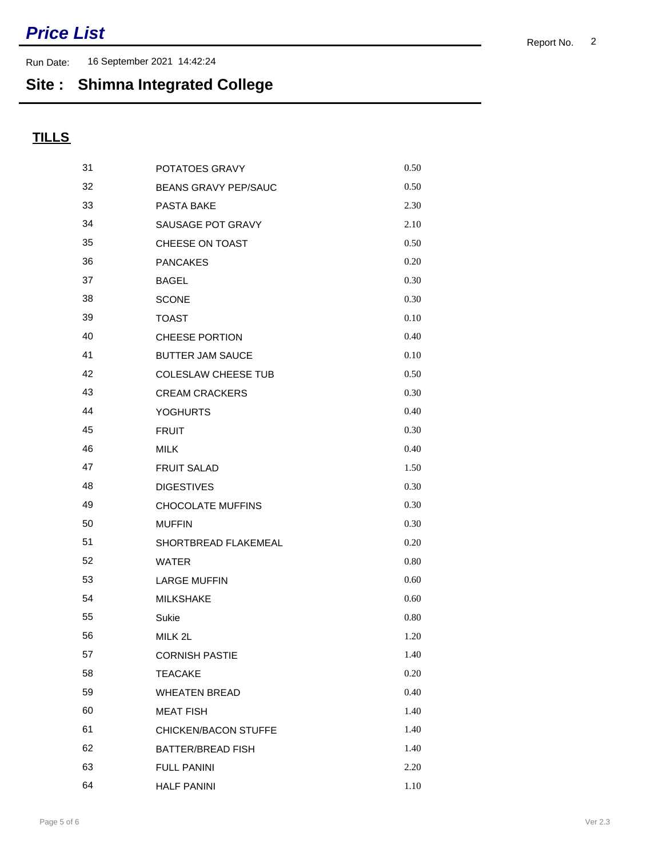Run Date: 16 September 2021 14:42:24

## **Site : Shimna Integrated College**

| 31 | POTATOES GRAVY              | 0.50 |
|----|-----------------------------|------|
| 32 | <b>BEANS GRAVY PEP/SAUC</b> | 0.50 |
| 33 | PASTA BAKE                  | 2.30 |
| 34 | SAUSAGE POT GRAVY           | 2.10 |
| 35 | CHEESE ON TOAST             | 0.50 |
| 36 | <b>PANCAKES</b>             | 0.20 |
| 37 | <b>BAGEL</b>                | 0.30 |
| 38 | <b>SCONE</b>                | 0.30 |
| 39 | <b>TOAST</b>                | 0.10 |
| 40 | <b>CHEESE PORTION</b>       | 0.40 |
| 41 | <b>BUTTER JAM SAUCE</b>     | 0.10 |
| 42 | <b>COLESLAW CHEESE TUB</b>  | 0.50 |
| 43 | <b>CREAM CRACKERS</b>       | 0.30 |
| 44 | <b>YOGHURTS</b>             | 0.40 |
| 45 | <b>FRUIT</b>                | 0.30 |
| 46 | <b>MILK</b>                 | 0.40 |
| 47 | <b>FRUIT SALAD</b>          | 1.50 |
| 48 | <b>DIGESTIVES</b>           | 0.30 |
| 49 | CHOCOLATE MUFFINS           | 0.30 |
| 50 | <b>MUFFIN</b>               | 0.30 |
| 51 | SHORTBREAD FLAKEMEAL        | 0.20 |
| 52 | <b>WATER</b>                | 0.80 |
| 53 | <b>LARGE MUFFIN</b>         | 0.60 |
| 54 | <b>MILKSHAKE</b>            | 0.60 |
| 55 | Sukie                       | 0.80 |
| 56 | MILK 2L                     | 1.20 |
| 57 | <b>CORNISH PASTIE</b>       | 1.40 |
| 58 | <b>TEACAKE</b>              | 0.20 |
| 59 | <b>WHEATEN BREAD</b>        | 0.40 |
| 60 | <b>MEAT FISH</b>            | 1.40 |
| 61 | CHICKEN/BACON STUFFE        | 1.40 |
| 62 | <b>BATTER/BREAD FISH</b>    | 1.40 |
| 63 | <b>FULL PANINI</b>          | 2.20 |
| 64 | <b>HALF PANINI</b>          | 1.10 |